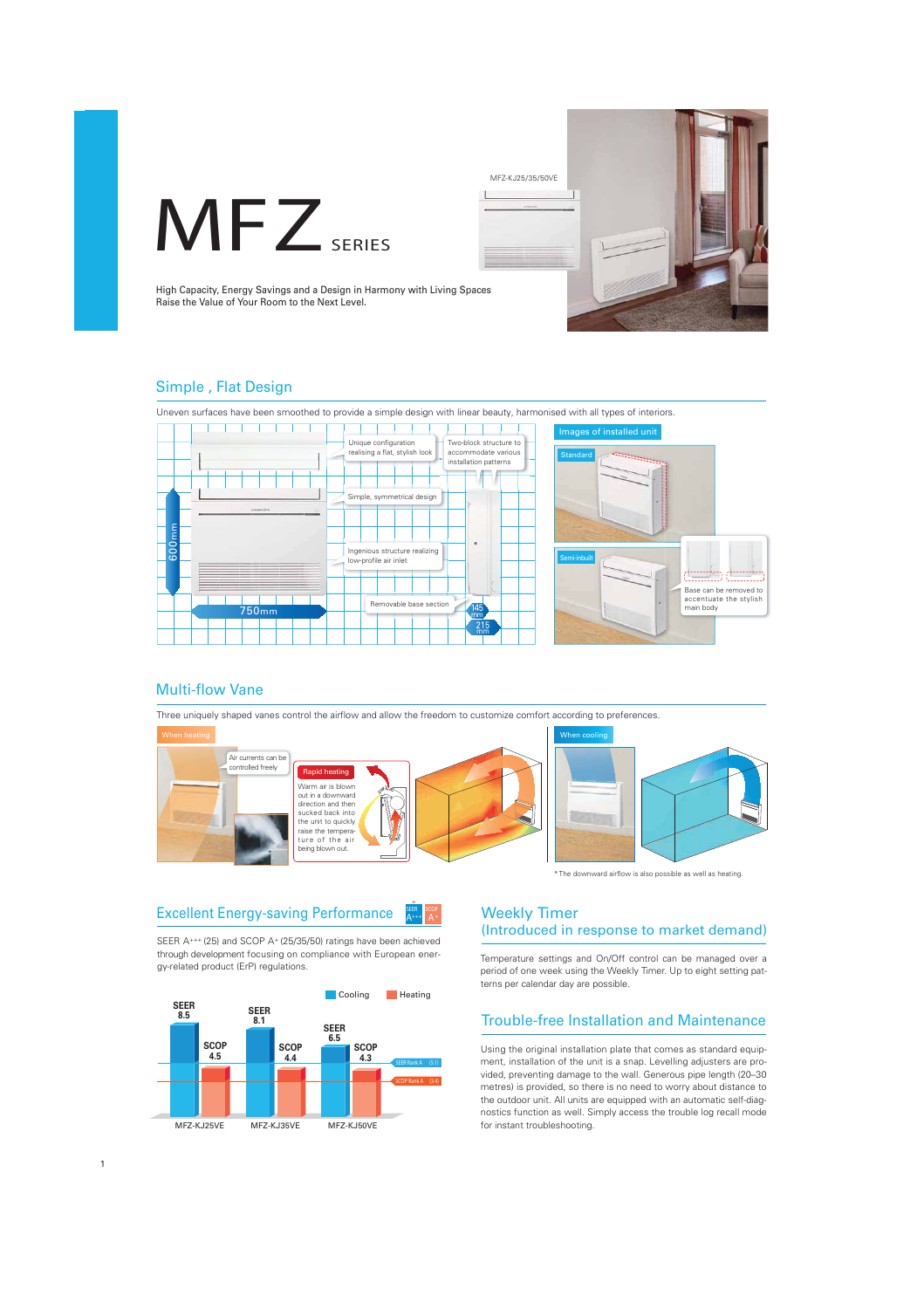



High Capacity, Energy Savings and a Design in Harmony with Living Spaces Raise the Value of Your Room to the Next Level.

### Simple , Flat Design

Uneven surfaces have been smoothed to provide a simple design with linear beauty, harmonised with all types of interiors.





# Multi-flow Vane

1

Three uniquely shaped vanes control the airflow and allow the freedom to customize comfort according to preferences.



\*The downward airflow is also possible as well as heating.

#### Excellent Energy-saving Performance **SEER A+++**

SEER A+++ (25) and SCOP A+ (25/35/50) ratings have been achieved through development focusing on compliance with European energy-related product (ErP) regulations.



## Weekly Timer (Introduced in response to market demand)

Temperature settings and On/Off control can be managed over a period of one week using the Weekly Timer. Up to eight setting patterns per calendar day are possible.

### Trouble-free Installation and Maintenance

Using the original installation plate that comes as standard equipment, installation of the unit is a snap. Levelling adjusters are provided, preventing damage to the wall. Generous pipe length (20–30 metres) is provided, so there is no need to worry about distance to the outdoor unit. All units are equipped with an automatic self-diagnostics function as well. Simply access the trouble log recall mode for instant troubleshooting.